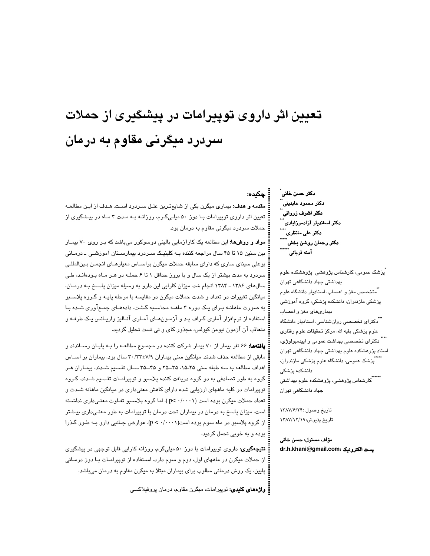# تعیین اثر داروی توپیرامات در پیشکیری از حملات سردرد میگرنی مقاوم به درمان

### ڇکده:

**مقدمه و هدف:** بیماری میگرن یکی از شایعترین علـل سـردرد اسـت. هـدف از ایـن مطالعـه تعیین اثر داروی توپیرامات بـا دوز ۵۰ میلـیگـرم، روزانـه بـه مـدت ۳ مـاه در پیـشگیری از ۔ حملات سردرد میگرنی مقاوم به درمان بود.

**مواد و روشها:** این مطالعه یک کارآزمایی بالینی دوسوکور میباشد که بـر روی ۷۰ بیمـار بین سنین ۱۵ تا ۴۵ سال مراجعه کننده بـه کلینیـک سـردرد بیمارسـتان آموزشـی ـ درمـانی بوعلی سینای ساری که دارای سابقه حملات میگرن براسـاس معیارهـای انجمـن بـینالمللـی سردرد به مدت بیشتر از یک سال و با بروز حداقل ۱ تا ۶ حملــه در هـر مــاه بـودهانـد، طـی سالهای ۱۳۸۶ ـ ۱۳۸۴ انجام شد. میزان کارایی این دارو به وسیله میزان پاسـخ بـه درمـان، میانگین تغییرات در تعداد و شدت حملات میگرن در مقایسه با مرحله پایـه و گـروه پلاسـبو به صورت ماهانــه بـرای یـک دوره ۳ ماهــه محاسـبه گـشت. دادههـای جمـعآوری شــده بـا استفاده از نرمافزار آماری گراف پد و آزمونهای آماری آنالیز واریانس یک طرفه و متعاقب آن آزمون نيومن کيولس، مجذور کاي و تي تست تحليل گرديد.

**یافتهها:** ۶۶ نفر بیمار از ۷۰ بیمار شرکت کننده در مجمـوع مطالعـه را بـه پایـان رسـاندند و مابقی از مطالعه حذف شدند. میانگین سنی بیماران ۷/۹±۳۲/۳۳ سال بود، بیماران بر اسـاس اهداف مطالعه به سه طبقه سنی ۲۵ـ۱۵، ۳۵ــ۲۵ و ۴۵ــ۳۵ سـال تقسیم شـدند. بیمـاران هـر گروه به طور تصادفی به دو گروه دریافت کننده پلاسبو و توپیرامـات تقـسیم شـدند. گـروه توپیرامات در کلیه ما*ههای ارزیابی شده دارای کاهش معنیداری در* میانگین ما*ه*انه شـدت و تعداد حملات میگرن بوده است (p< ·/···۱ ). اما گروه پلاسـبو تفـاوت معنـیداری نداشـته است. میزان پاسخ به درمان در بیماران تحت درمان با توپیرامات به طور معنـیداری بیـشتر از گروه پلاسبو در ماه سوم بوده است(۶۰/۰۰۰۱). عوارض جـانبی دارو بـه طـور گـذرا بوده و به خوبی تحمل گردید.

**نتیجهگیری:** داروی توپیرامات با دوز ۵۰ میلیگرم، روزانه کارایی قابل توجهی در پیشگیری از حملات میگرن در ماههای اول، دوم و سوم دارد. اسـتفاده از توپیرامـات بـا دوز درمـانی پایین، یک روش درمانی مطلوب برای بیماران مبتلا به میگرن مقاوم به درمان میباشد.

: **واژەھای کلیدی:** توپیرامات، میگرن مقاوم، درمان پروفیلاکسی

دکتر حسن خانی ً دكتر محمود عابديني دكتر اشرف زرواني دکتر عل*ی* منتظر*ی* دکتر رحمان روشن بخش آمنه قربانی ً

پزشک عمومی، کارشناس پژوهشی پژوهشکده علوم بھداشتی جھاد دانشگاھی تھران ۔<br>"متخصص مغز و اعصاب، استادیار دانشگاہ علوم پزشکی مازندران، دانشکده پزشکی، گروه آموزشی بیماریهای مغز و اعصاب ...<br>\*\*\*دکترای تخصص*ی* روانشناس*ی*، استادیار دانشگاه علوم پزشکی بقیه الله، مرکز تحقیقات علوم رفتاری <sup>^</sup> دکترای تخصصی بهداشت عمومی و اپیدمیولوژ*ی،* استاد پژوهشکده علوم بهداشتی جهاد دانشگاهی تهران <sup>""</sup>پزشک عمومی، دانشگاه علوم پزشکی مازندران، دانشکده پزشکی

جهاد دانشگاهی تهران

تاريخ وصول :٢٢/٢/١٣٨٧ تاريخ پذيرش:١٣٨٧/١٢/٧

مؤلف مسئول: حسن خاني dr.h.khani@gmail.com: يست الكترونيك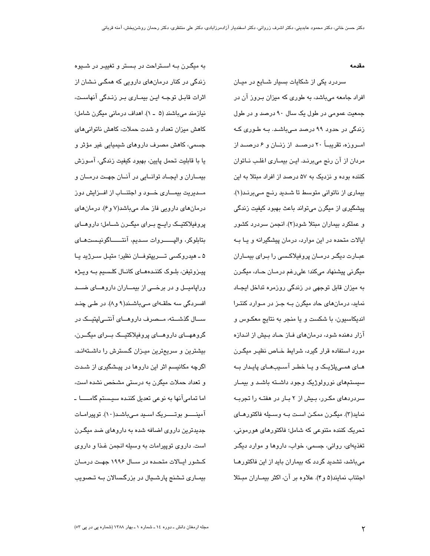#### مقدمه

سردرد یکی از شکایات بسیار شــایع در میــان افراد جامعه میباشد، به طوری که میزان بیروز آن در جمعیت عمومی در طول یک سال ۹۰ درصد و در طول زندگی در حدود ۹۹ درصد مـیباشـد. بـه طـوری کـه امــروزه، تقریبــاً ۲۰ درصــد از زنــان و ۶ درصــد از مردان از آن رنج میبرنـد. ایـن بیمـاری اغلـب نــاتوان کننده بوده و نزدیک به ۵۷ درصد از افراد مبتلا به این بیماری از ناتوانی متوسط تا شدید رنج میبرند(١). پیشگیری از میگرن میتواند باعث بهبود کیفیت زندگی و عملکرد بیماران مبتلا شود(۲). انجمن سردرد کشور ایالات متحده در این موارد، درمان پیشگیرانه و یـا بـه عبـارت دیگـر درمـان پروفیلاکـسی را بـرای بیمـاران ميگرني پيشنهاد ميکند؛ علي رغم درمــان حــاد، ميگـرن به میزان قابل توجهی در زندگی روزمره تداخل ایجـاد نماید، درمان های حاد میگرن بـه جـز در مـوارد کنتـرا اندیکاسپون، با شکست و یا منجر به نتایج معکـوس و آزار دهنده شود، درمانهای فـاز حـاد بـیش از انـدازه مورد استفاده قرار گیرد، شرایط خـاص نظیـر میگـرن هـای همـیپلژیـک و یـا خطـر آسـیبهـای پایـدار بـه سیستمهای نورولوژیک وجود داشته باشـد و بیمـار سردردهای مکـرر، بـیش از ۲ بـار در هفتـه را تجربـه نمايد(۳). ميگـرن ممكـن اسـت بـه وسـيله فاكتورهـاي تحریک کننده متنوعی که شامل؛ فاکتورهای هورمونی، تغذیهای، روانی، جسمی، خواب، داروها و موارد دیگـر می باشد، تشدید گردد که بیماران باید از این فاکتورهـا اجتناب نمایند(۵ و۴). علاوه بر آن، اکثر بیمـاران مبـتلا

به میگـرن بـه اسـتراحت در بـستر و تغییـر در شـیوه زندگی در کنار درمانهای دارویی که همگـی نـشان از اثرات قابـل توجـه ایـن بیمـاری بـر زنـدگی آنهاسـت، نيازمند مي باشند (۵ \_ ۱). اهداف درماني ميگرن شامل؛ کاهش میزان تعداد و شدت حملات، کاهش ناتوانی های جسمی، کاهش مصرف داروهای شیمیایی غیر مؤثر و يا با قابليت تحمل پايين، بهبود کيفيت زندگي، آمــوزش بیمـاران و ایجـاد توانــایی در آنــان جهـت درمــان و مــدیریت بیمــاری خــود و اجتنــاب از افــزایش دوز درمانهای دارویی فاز حاد میباشد(۷ و۶). درمانهای پروفیلاکتیک راییج برای میگرن شامل؛ داروهای بتابلوكر، واليــــــروات سـديم، آنتــــــاگونيـستهـاى ۵ ـ هيدروکسی تـــريپتوفــان نظير؛ متيـل ســرژيد يـا پيزوتيفن، بلـوک کننـدههـای کانـال کلـسيم بـه ويـژه ورایامیــل و در برخـــی از بیمــاران داروهــای ضــد افسردگی سه حلقهای میباشند(۹ و۸). در طبی چند ســال گذشـــته، مــصرف داروهـــای آنتـــیلپتیـــک در گروههــای داروهـــای پروفیلاکتیــک بـــرای میگـــرن، بیشترین و سریعترین میـزان گسترش را داشـتهانـد. اگرچه مکانیسم اثر این داروها در پیشگیری از شـدت و تعداد حملات میگرن به درستی مشخص نشده است، اما تمامی آنها به نوعی تعدیل کننده سیستم گامسا -آمینـــو بوتــــریک اسـید مـیباشـد(١٠). توپیرامـات جدیدترین داروی اضافه شده به داروهای ضد میگـرن است. داروی توپیرامات به وسیله انجمن غـذا و داروی کشور ایـالات متحـده در سـال ۱۹۹۶ جهـت درمـان بیمـاری تـشنج پارشـیال در بزرگـسالان بـه تـصویب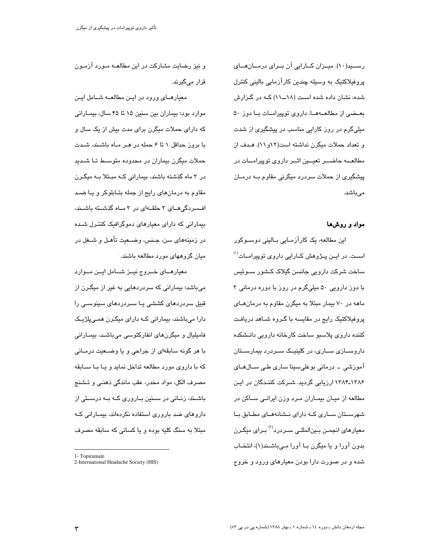رسسید(١٠). میلزان کلارایی آن بلرای درملان هلای پروفیلاکتیک به وسیله چندین کارآزمایی بالینی کنترل شده، نشان داده شده است (۱۸ــ۱۱) کـه در گـزارش بعـضی از مطالعــهمــا، داروی توپیرامــات بــا دوز ۵۰ میلیگرم در روز کارایی مناسب در پیشگیری از شدت و تعداد حملات میگرن نداشته است(۱۲و۱۱). هـدف از مطالعـــه حاضـــر تعیـــین اثــر داروی توپیرامـــات در پیشگیری از حملات سردرد میگرنی مقاوم بــه درمــان مے باشد.

#### مواد و روشها

این مطالعه، یک کارآزمـایی بـالینی دوسـوکور اســت. در ايــن پــژوهش کــارايي داروي توپيرامــات<sup>(۱)</sup> ساخت شرکت دارویے جانسن گیلاک کشور سـوئیس با دوز دارویی ۵۰ میلیگرم در روز با دوره درمانی ۳ ماهه در ۷۰ بیمار مبتلا به میگرن مقاوم به درمان های پروفیلاکتیک رایج در مقایسه با گـروه شــاهد دریافـت كننده داروى پلاسبو ساخت كارخانه دارويى دانـشكده داروسـازی سـاری، در کلینیـک سـردرد بیمارسـتان آموزشی ۔ درمانی بوعلیسینا ساری طی ســالهــای ۱۳۸۴ـ۱۳۸۴ ارزیابی گردید. شـرکت کننـدگان در ایـن مطالعه از میـان بیمـاران مـرد وزن ایرانـی سـاکن در شهرستان ساری کـه دارای نـشانههـای مطـابق بـا معیارهای انجمـن بـینالمللـی سـردرد<sup>(۲)</sup> بـرای میگـرن بدون آورا و یا میگرن بـا آورا مـیباشـند(۱)، انتخـاب شده و در صورت دارا بودن معیارهای ورود و خروج

و نیز رضایت مشارکت در این مطالعـه مـورد آزمـون قرار مے گیرند.

معیارهـای ورود در ایـن مطالعــه شــامل ایـن موارد بود؛ بیماران بین سنین ۱۵ تا ۴۵ سال، بیمـارانی که دارای حملات میگرن برای مدت بیش از یک سال و با بروز حداقل ۱ تا ۶ حمله در هـر مـاه باشـند، شـدت حملات میگرن بیماران در محدوده متوسـط تـا شـدید در ۳ ماه گذشته باشند، بیمارانی کـه مبـتلا بـه میگـرن مقاوم به درمانهای رایج از جمله بتـابلوکر و یـا ضـد افسردگی های ۳ حلقهای در ۳ ماه گذشته باشند، بیمارانی که دارای معیارهای دموگرافیک کنتـرل شـده در زمينههاي سن، جـنس، وضــعيت تأهـل و شــغل در مبان گروههای مورد مطالعه باشند.

معیارهـای خــروج نیــز شــامل ایــن مــوارد می باشد؛ بیمارانی که سردردهایی به غیر از میگـرن از قبیل سردردهای کششی یـا سـردردهای سینوسـی را دارا میباشند، بیمارانی کـه دارای میگـرن همـیپلژیـک فامیلیال و میگرنهای انفارکتوسی میباشد، بیمـارانی با هر گونه سابقهای از جراحی و یا وضـعیت درمـانی که با داروی مورد مطالعه تداخل نماید و پـا بـا ســابقه مصرف الكل، مواد مخدر، عقب ماندگی ذهنـی و تــشنج باشــند، زنــانی در ســنین بــاروری کــه بــه درســتی از داروهای ضد باروری استفاده نکردهاند، بیمارانی که مبتلا به سنگ کلیه بوده و یا کسانی که سابقه مصرف

<sup>1-</sup> Topiramate

<sup>2-</sup>International Headache Society (HIS)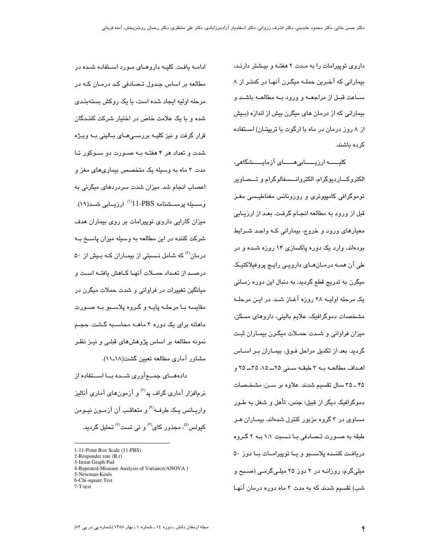داروی توپیرامات را به مدت ۲ هفته و بیشتر دارند، بیمارانی که آخـرین حملــه میگـرن آنهـا در کمتـر از ۸ ســاعت قبــل از مراجعــه و ورود بــه مطالعــه باشــد و بیمارانی که از درمان های میگرن بیش از اندازه (بـیش از ۸ روز درمان در ماه با ارگوت یا تریپتـان) اســتفاده كرده باشند.

كليــــــه ارزيــــــابىھــــــاى آزمايـــــشگاهى، الکتروکـــاردیوگرام، الکتروانـــسفالوگرام و تـــصـاویر توموگرافی کامپیوتری و روزونانس مغناطیسی مغـز قبل از ورود به مطالعه انجـام گرفـت. بعـد از ارزيـابي معیارهای ورود و خروج، بیمارانی کـه واجـد شــرایط بودهاند، وارد یک دوره پاکسازی ۱۴ روزه شـده و در طی آن همــه درمــانهــای دارویــی رایــج پروفیلاکتیـک میگرن به تدریج قطع گردید. به دنبال این دوره زمـانی یک مرحله اولیــه ۲۸ روزه آغــاز شــد. در ایــن مرحلــه مشخصات دموگرافیک، علایم بالینی، داروهای مسکن، میزان فراوانی و شـدت حمـلات میگـرن بیمـاران ثبـت گردید. بعد از تکمیل مراحل فـوق، بیمـاران بـر اســاس اهـداف مطالعـه بـه ٣ طبقـه سـنى ٢۵ـــــ ٢۵، ٣۵ـــــ ٢٥ و ۴۵ ـ ۳۵ سال تقسیم شدند. علاوه بر سـن، مشـخـصـات دموگرافیک دیگر از قبیل؛ جنس، تأهل و شغل به طـور مساوی در ۳ گروه مزبور کنترل شدهاند. بیمـاران هـر طبقه به صــورت تــصـادفی بــا نــسبت ۱:۱ بــه ۲ گــروه دریافت کننده پلاسبو و یا توپیرامات با دوز ۵۰ میلیگرم، روزانــه در ۲ دوز ۲۵ میلـیگرمـی (صــبح و شب) تقسیم شدند که به مدت ۳ ماه دوره درمان آنهـا

ادامــه یافـت. کلیــه داروهــای مــورد اســتفاده شــده در مطالعه بر اساس جدول تـصادفی کـد درمـان کـه در مرحله اولیه ایجاد شده است، با یک روکش بستهبندی شده و با یک علامت خاص در اختیار شرکت کننیدگان قرار گرفت و نیز کلیــه بررســی۱مــای بــالینی بــه ویــژه شدت و تعداد هر ۴ هفتـه بـه صـورت دو سـوکور تـا مدت ۳ ماه به وسیله یک متخصص بیماریهای مغز و اعصاب انجام شد. میزان شدت سردردهای میگرنی به وسىــيله پرســـشنامه PBS-11'<sup>(۱)</sup> ارزيــابى شــد(۱۹). میزان کارایی داروی توپیرامات بر روی بیماران هدف شرکت کننده در این مطالعه به وسیله میزان پاسخ بـه درمان<sup>(۲)</sup> که شامل نـسبتی از بیمـاران کـه بـیش از ۵۰ درصـد از تعـداد حمــلات آنهـا كــاهش يافتــه اســت و میانگین تغییرات در فراوانی و شدت حملات میگرن در مقايسه بــا مرحلــه پايــه و گــروه پلاســبو بــه صــورت ماهانه برای یک دوره ۳ ماهــه محاســبه گـشت. حجـم نمونه مطالعه بر اساس پژوهشهای قبلـی و نیـز نظـر مشاور آماری مطالعه تعیین گشت(۱۸ـ۱۱).

دادههـــای جمــــعآوری شـــده بـــا اســـتفاده از نرمافزار آماری گراف پد<sup>(۳)</sup> و آزمون۵ای آماری آنالیز واريــانس يــک طرفــه<sup>(۴)</sup> و متعاقـب آن آزمــون نيــومن کیولس<sup>(۵)</sup>، مجذور کای<sup>(۶)</sup> و تی تست<sup>(۷)</sup> تحلیل گردید.

5-Newman-Keuls 6-Chi-square Test

<sup>1-11-</sup>Point Box Scale (11-PBS)

<sup>2-</sup>Responder rate (R.r) 3-Instat Graph Pad

<sup>4-</sup>Repeated-Measure Analysis of Variance(ANOVA)

 $7-T-test$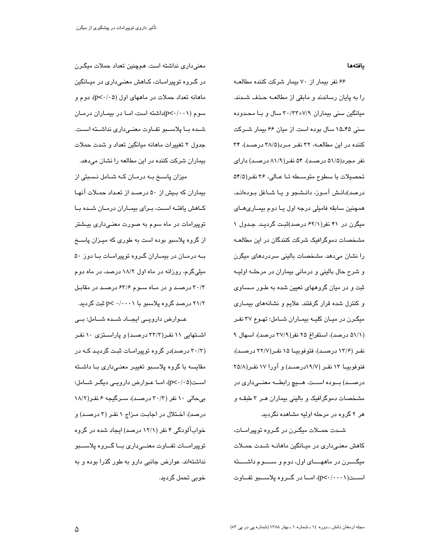#### يافتهها

۶۶ نفر بیمار از ۷۰ بیمار شرکت کننده مطالعه را به پایان رساندند و مابقی از مطالعـه حـذف شـدند. میانگین سنی بیماران ۳۰/۳۳±۷/۹ سال و بـا محـدوده سنی ۹۵ـ۱۵ سال بوده است. از میان ۶۶ بیمار شــرکت کننده در این مطالعـه، ۳۲ نفـر مـرد(۳۸/۵ درصـد)، ۳۴ نفر مجرد(۵۱/۵ درصـد)، ۵۴ نفـر(۸۱/۹ درصـد) دارای تحصیلات با سطوح متوسطه تـا عـالی، ۳۶ نفـر(۵۴/۵ درصد)دانـش آمـوز، دانـشجو و يـا شـاغل بـودهانـد. همچنین سابقه فامیلی درجه اول یا دوم بیماری های میگرن در ۴۱ نفر(۶۲/۱ درصد)ثبت گردید. جدول ۱ مشخصات دموگرافیک شرکت کنندگان در این مطالعـه را نشان می،دهد. مشخصات بالینی سردردهای میگرن و شرح حال باليني و درماني بيماران در مرحلــه اوليــه ثبت و در میان گروههای تعیین شده به طـور مـساوی و کنترل شده قرار گرفتند. علایم و نشانههای بیمـاری میگرن در میـان کلیــه بیمـاران شــامل؛ تهـوع ۳۷ نفـر (۵۱/۱ درصد)، استفراغ ۲۵ نفر(۳۷/۹ درصد)، اسهال ۹ نفر (۱۳/۶ درصد)، فتوفوبيــا ۱۵ نفـر(۲۲/۷ درصـد)، فنوفوبيــا ١٣ نفـر (١٩/٧درصــد) و آورا ١٧ نفـر(٢٥/٨ درصــد) بــوده اســت. هـــيچ رابطــه معنـــیداری در مشخصات دموگرافیک و بالینی بیماران هـر ۳ طبقـه و هر ۲ گروه در مرحله اولیه مشاهده نگردید.

شـدت حمــلات میگــرن در گــرو ه توپیرامــات، کاهش معنیداری در میانگین ماهانـه شـدت حمـلات میگــــرن در ماههــــای اول، دوم و ســــوم داشــــته است(p<-/···))، امــا در گــروه پلاســبو تفــاوت

معنی داری نداشته است. همچنین تعداد حملات میگـرن در گـروه توپیرامــات، كــاهش معنــی،داری در میــانگین ماهانه تعداد حملات در ماههای اول (p<٠/٠٥)، دوم و سوم (p<٠/٠٠١)داشته است، امـا در بيمـاران درمـان شده با پلاسمبو تفاوت معنى دارى نداشته است. جدول ۲ تغییرات ماهانه میانگین تعداد و شدت حملات بیماران شرکت کننده در این مطالعه را نشان میدهد. میزان پاسخ به درمان که شامل نسبتی از بیماران که بیش از ۵۰ درصد از تعداد حمـلات آنهـا كاهش يافته است، براى بيماران درمان شده با توپیرامات در ماه سوم به صورت معنـی،داری بیـشتر از گروه پلاسبو بوده است به طوری که میـزان پاسـخ

بـه درمـان در بیمـاران گـروه توپیرامـات بـا دوز ۵۰ میلی گرم، روزانه در ماه اول ۱۸/۲ درصد، در ماه دوم ٣٠/٣ درصد و در ماه سوم ۶۳/۶ درصد در مقابل ۲۱/۲ درصد گروه پلاسبو با p< ۰/۰۰۰۱ تبت گردید.

عــوارض دارویــی ایجــاد شــده شــامل؛ بــی

اشتهایی ۱۱ نفر(۳۳/۳ درصد) و پاراستزی ۱۰ نفر (۳۰/۳ درصد)در گروه توپیرامـات ثبـت گردیـد کـه در مقایسه با گروه پلاسبو تغییر معنی داری بـا داشـته است(p<٠/٠۵)، امــا عــوارض دارویــی دیگـر شــامل؛ بی حالی ۱۰ نفر (۳۰/۳ درصد)، سـرگیجه ۶ نفـر(۱۸/۲ درصد)، اختلال در اجابت مـزاج ۱ نفـر (۳ درصـد) و خوابآلودگی ۴ نفر (۱۲/۱ درصد) ایجاد شده در گروه توپیرامـات تفــاوت معنــیداری بــا گــروه پلاســـبو نداشتهاند. عوارض جانبی دارو به طور گذرا بوده و به خوبي تحمل گرديد.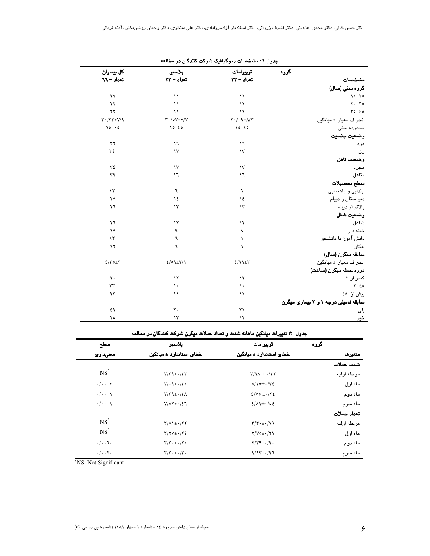|                                      | گروه | توپیرامات                                                                           | پلاسبو                                                                | كل بيماران               |
|--------------------------------------|------|-------------------------------------------------------------------------------------|-----------------------------------------------------------------------|--------------------------|
| مشخصات                               |      | تعداد = ٣٣                                                                          | تعداد = ٣٣                                                            | تعداد = ٦٦               |
| گروہ سنی (سال)                       |      |                                                                                     |                                                                       |                          |
| $\lambda$ 0- $\lambda$ 0             |      | $\setminus$                                                                         | $\lambda$                                                             | $\mathsf{Y}\mathsf{Y}$   |
| $Y_0 - Y_0$                          |      | $\lambda$                                                                           | $\lambda$                                                             | $\mathsf{Y}\mathsf{Y}$   |
| $r - \epsilon$                       |      | $\mathcal{N}$                                                                       | $\setminus$                                                           | $\mathsf{Y}\mathsf{Y}$   |
| انحراف معيار ± ميانگين               |      | $\mathbf{Y}\boldsymbol{\cdot}/\boldsymbol{\cdot}\mathbf{I}\pm\mathbf{A}/\mathbf{Y}$ | $\mathbf{\Upsilon}\cdot/\mathbf{0}\mathbf{V}\pm\mathbf{V}/\mathbf{V}$ | $Y \cdot / YY \pm V / 9$ |
| محدوده سنى                           |      | $10 - 20$                                                                           | $10 - 20$                                                             | $10 - 20$                |
| وضعيت جنسيت                          |      |                                                                                     |                                                                       |                          |
| مرد                                  |      | $\mathcal{N}$                                                                       | $\mathcal{N}$                                                         | ٣٢                       |
| ذن                                   |      | $\mathcal{N}$                                                                       | $\mathcal{N}$                                                         | $\tau$ ٤                 |
| وضعيت تاهل                           |      |                                                                                     |                                                                       |                          |
| مجرد                                 |      | $\mathcal{N}$                                                                       | $\mathcal{N}$                                                         | ٣٤                       |
| متاهل                                |      | $\mathcal{N}$                                                                       | $\mathcal{M}$                                                         | $\tau\tau$               |
| سطح تحصيلات                          |      |                                                                                     |                                                                       |                          |
| ابتدایی و راهنمایی                   |      | ٦                                                                                   | ٦                                                                     | $\lambda$                |
| دبیرستان و دیپلم                     |      | ١٤                                                                                  | $\lambda$                                                             | ٢٨                       |
| بالاتر از دیپلم                      |      | $\lambda$ ۳                                                                         | $\lambda \tau$                                                        | ٢٦                       |
| وضعيت شغل                            |      |                                                                                     |                                                                       |                          |
| شاغل                                 |      | $\lambda$                                                                           | $\lambda$                                                             | $\mathsf{r}\mathsf{r}$   |
| خانه دار                             |      | ٩                                                                                   | ٩                                                                     | ١٨                       |
| دانش آموز يا دانشجو                  |      | ٦                                                                                   | $\mathcal{L}$                                                         | $\lambda$                |
| بيكار                                |      | ٦                                                                                   | ٦                                                                     | $\lambda$                |
| سابقه میگرن (سال)                    |      |                                                                                     |                                                                       |                          |
| انحراف معيار ± ميانگين               |      | 2/11                                                                                | $2/09 \pm 7/1$                                                        | $2/\tau$ 0± $\tau$       |
| دوره حمله میگرن (ساعت)               |      |                                                                                     |                                                                       |                          |
| کمتر از ۲                            |      | $\lambda$                                                                           | $\lambda$                                                             | $\mathsf{Y}$ .           |
| $Y-\xi\wedge$                        |      | $\mathcal{N}$                                                                       | $\lambda$ .                                                           | $\mathsf{Y}\mathsf{Y}$   |
| بیش از ٤٨                            |      | $\lambda$                                                                           | $\lambda$                                                             | $\tau\tau$               |
| سابقه فامیلی درجه ۱ و ۲ بیماری میگرن |      |                                                                                     |                                                                       |                          |
| بلی                                  |      | $\mathsf{Y}\mathsf{Y}$                                                              | $\mathsf{r}\cdot$                                                     | ٤١                       |
| <u>خير</u>                           |      | $\backslash \backslash$                                                             | $\lambda \tau$                                                        | ۲٥                       |

|  |  |  |  |  | جدول ۱ : مشخصات دموگرافیک شرکت کنندگان در مطالعه |  |  |
|--|--|--|--|--|--------------------------------------------------|--|--|
|--|--|--|--|--|--------------------------------------------------|--|--|

| جدول ۲: تغییرات میانگین ماهانه شدت و تعداد حملات میگرن شرکت کنندگان در مطالعه |  |
|-------------------------------------------------------------------------------|--|

| سطح                                  | يلاسبو                                              | توييرامات                                      | گروه |             |
|--------------------------------------|-----------------------------------------------------|------------------------------------------------|------|-------------|
| معنىدارى                             | خطای استاندارد ± میانگین                            | خطا <i>ی</i> استاندارد ± میانگین               |      | متغيرها     |
|                                      |                                                     |                                                |      | شدت حملات   |
| $NS$ <sup><math>\dot{}</math></sup>  | $V/\Upsilon$ 9± $\cdot$ / $\Upsilon\Upsilon$        | $V/\lambda + \cdot$ /۳۲                        |      | مرحله اوليه |
| $\cdot/\cdot\cdot\cdot$ $\mathsf{Y}$ | $V/\cdot$ 9 ± $\cdot$ / $\tau$ 0                    | $0/\Omega + \sqrt{\Upsilon}$                   |      | ماه اول     |
| $\cdot/\cdot\cdot\cdot$              | $V/\Upsilon$ ۹ $\pm$ $\cdot$ / $\Upsilon$ $\Lambda$ | $2/V_0 + \frac{1}{2}V_2$                       |      | ماه دوم     |
| $\cdot/\cdot\cdot\cdot$              | $V/VY \pm 1/27$                                     | $\frac{2}{\sqrt{2}}$                           |      | ماه سوم     |
|                                      |                                                     |                                                |      | تعداد حملات |
| $NS$ <sup>*</sup>                    | $\Upsilon/\Lambda$ 1± $\cdot$ /۲۲                   | $\Upsilon/\Upsilon \cdot \pm \cdot / \sqrt{9}$ |      | مرحله اوليه |
| $NS$ <sup><math>\dot{S}</math></sup> | $Y/YV_{\pm}\cdot/Y\xi$                              | $Y/V$ $\circ$ $\pm$ $\cdot$ / $Y$ $\wedge$     |      | ماه اول     |
| $\cdot/\cdot\cdot$ \ $\cdot$         | $\Upsilon/\Upsilon \cdot \pm \cdot/\Upsilon$ o      | $Y/Y$ ۹ $\pm$ $\cdot$ / $Y$ $\cdot$            |      | ماه دوم     |
| $\cdot/\cdot\cdot$ $\cdot$           | $\Upsilon/\Upsilon \cdot \pm \cdot/\Upsilon$ .      | $1/97\pm.77$                                   |      | ماه سوم     |

\*NS: Not Significant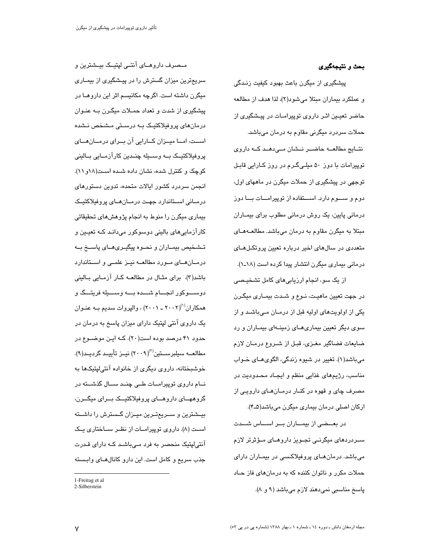#### بحث و نتیجهگیری

پیشگیری از میگرن باعث بهبود کیفیت زنـدگی و عملكرد بيماران مبتلا مى شود(٢)، لذا هدف از مطالعه حاضر تعیـین اثـر داروی توپیرامـات در پیـشگیری از حملات سردرد میگرنی مقاوم به درمان میباشد. نتسایج مطالعـــه حاضـــر نــشان مـــیدهــد کـــه داروی توپیرامات با دوز ۵۰ میلـیگـرم در روز کـارایی قابـل توجهی در پیشگیری از حملات میگرن در ماههای اول، دوم و ســـوم دارد. اســـتفاده از توپیرامـــات بـــا دوز درمانی پایین، یک روش درمانی مطلوب برای بیمــاران مبتلا به میگرن مقاوم به درمان میباشد. مطالعــهمــای متعددی در سالهای اخبر درباره تعیین پروتکلهـای درمانی بیماری میگرن انتشار پیدا کرده است (۱۸ـ۱).

از یک سو، انجام ارزیابی۵ای کامل تشخیصی در جهت تعیین ماهیـت، نـوع و شـدت بیمـاری میگـرن یکی از اولویتهای اولیه قبل از درمان میباشد و از سوی دیگر تعیین بیماریهـای زمینــهای بیمـاران و رد ضايعات فضاگير مغـزي، قبـل از شـروع درمـان لازم ميباشد(۱). تغيير در شيوه زندگي، الگويهــاي خــواب مناسب، رژیمهای غذایی منظم و ایجـاد محـدودیت در مصرف چای و قهوه در کنـار درمـان۵ـای دارویـی از اركان اصلي درمان بيماري ميگرن ميباشد(۵ـ۴).

در بعــضی از بیمــاران بــر اســاس شــدت ســردردهای میگرنــی تجــویز داروهــای مــؤثرتر لازم میباشد. درمان هـای پروفیلاکـسی در بیمـاران دارای حملات مکرر و ناتوان کننده که به درمانهای فاز حـاد پاسخ مناسبی نمیدهند لازم میباشد (۹ و ۸).

مــصرف داروهــای آنتــی لپتیــک بیــشترین و سریعترین میزان گسترش را در پیشگیری از بیمـاری میگرن داشته است. اگرچه مکانیسم اثر این داروهـا در پیشگیری از شدت و تعداد حمـلات میگـرن بـه عنـوان درمانهای پروفیلاکتیک بـه درسـتی مـشخص نـشده اســت، امــا میــزان كــارایی آن بــرای درمــان هــای پروفیلاکتیــک بــه وســیله چنــدین کارآزمــایی بــالینی کوچک و کنترل شده، نشان داده شـده اسـت(۱۸و ۱۱). انجمن سردرد کشور ایالات متحده، تدوین دستورهای در مبانی استاندار د جهت در مبان هبای پر و فیلاکتبک بیماری میگرن را منوط به انجام پژوهشهای تحقیقاتی کارآزماییهای بالینی دوسوکور میدانـد کـه تعیـین و تـشخيص بيمــاران و نحــوه پيگيــرىهــاى پاســخ بــه درمـان هـای مـورد مطالعـه نیـز علمـی و اسـتاندارد باشد(۳). برای مثـال در مطالعــه کــار آزمــایی بــالینی دوســـوکور انجـــام شـــده بـــه وســـيله فريتـــگ و همکاران'''(۲۰۰۲ ـ ۲۰۰۱) ، والپروات سدیم بـه عنـوان یک داروی آنتی لپتیک دارای میزان پاسخ به درمان در حدود ۴۱ درصد بوده است(۲۰). کـه ایـن موضــوع در مطالعــه سيلبرســتين''\(٢٠٠٩) نيــز تأييــد گرديــد(٩). خوشبختانه، داروی دیگری از خانواده آنتی|پتیکها به نــام داروی توپیرامــات طــی چنــد ســال گذشــته در گروههـــای داروهــــای پروفیلاکتیـــک بـــرای میگـــرن، بیــشترین و ســریعتــرین میــزان گــسترش را داشــته است (۸). داروی توپیرامــات از نظــر ســاختاری یــک آنتے لیتیک منحصر به فرد مے باشـد کــه دارای قــدرت جذب سریع و کامل است. این دارو کانالهــای وابـسته

<sup>1-</sup>Freitag et al 2-Silberstein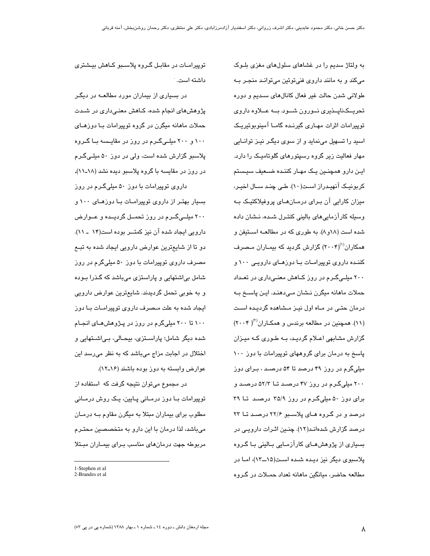به ولتاژ سدیم را در غشاهای سلولهای مغزی بلـوک میکند و به مانند داروی فنیتوئین میتوانـد منجـر بـه طولانی شدن حالت غیر فعال کانالهای سـدیم و دوره تحریــکـنایــذیری نــورون شـــود. بـــه عـــلاوه داروی توپیرامات اثرات مهـاری گیرنـده گامـا آمینویوتیریـک اسید را تسهیل مینماید و از سوی دیگـر نیـز توانــایی مهار فعالیت زیر گروه رسپتورهای گلوتامیک را دارد. ايـن دارو همچنـين يـک مهـار کننـده ضـعيف سيـستم کربونیک آنهیدراز است(١٠). طے چند سـال اخیـر، میزان کارایی آن پیرای درمیانهبای پروفیلاکتیک پیه وسبله كارآزمايى هاى بالينى كنتـرل شـده، نـشان داده شده است (۱۸و ۸). به طوری که در مطالعـه اسـتیفن و همکاران<sup>(۱۰</sup>/۲۰۰۴) گزارش گردید که بی*م*ـاران مـصرف کننـده داروی توپیرامـات بـا دوزهـای دارویـی ۱۰۰ و ۲۰۰ میلے گـرم در روز كـاهش معنـی،داری در تعـداد حملات ماهانه میگرن نـشان مـی،دهنـد. ایـن پاسـخ بـه درمان حتـی در مـاه اول نیـز مـشاهده گردیـده اسـت (١١). همچنین در مطالعه برندس و همکاران<sup>(٢)</sup>( ٢٠٠۴) گزارش مشابهی اعـلام گردیـد، بـه طـوری کـه میـزان پاسخ به درمان برای گروههای توپیرامات با دوز ۱۰۰ میلی گرم در روز ۴۹ درصد تا ۵۴ درصـد ، بـرای دوز ۲۰۰ میلی گـرم در روز ۴۷ درصـد تــا ۵۲/۳ درصـد و برای دوز ۵۰ میلیگرم در روز ۳۵/۹ درصد تا ۳۹ درصد و در گروه هـای پلاسـبو ۲۲/۶ درصـد تــا ۲۳ درصد گزارش شدهانـد(۱۲). چنـین اثـرات دارویـی در بسیاری از پژوهشهــای کارآزمــایی بــالینی بــا گــروه پلاسبوی دیگر نیز دیده شده است(۱۵ــ۱۳)، امـا در مطالعه حاضر، میانگین ماهانه تعداد حمـلات در گـروه

توپیرامـات در مقابـل گـروه پلاسـبو کـاهش بیـشتری داشته است.

در بسیاری از بیماران مورد مطالعــه در دیگـر پژوهشهای انجام شده، کـاهش معنـی،داری در شـدت حملات ماهانه میگرن در گروه توپیرامات بـا دوزهـای ۱۰۰ و ۲۰۰ میلے گـرم در روز در مقایـسه بــا گــروه پلاسبو گزارش شده است، ولی در دوز ۵۰ میلـیگـرم در روز در مقایسه با گروه پلاسبو دیده نشد (۱۸ـــ۱۱). داروی توپیرامات با دوز ۵۰ میلی گـرم در روز بسیار بهتر از داروی توپیرامیات بیا دوزهیای ۱۰۰ و ۲۰۰ میلــیگــرم در روز تحمــل گردیــده و عــوارض

دارویی ایجاد شده آن نیز کمتــر بوده است(۱۴ ـ ۱۱). دو تا از شایعترین عوارض دارویی ایجاد شده به تبـع مصرف داروی توپیرامات با دوز ۵۰ میلیگرم در روز شامل بی اشتهایی و پاراستزی می باشد که گـذرا بـوده و به خوبی تحمل گردیدند. شایعترین عوارض دارویی ایجاد شده به علت مـصرف داروی توپیرامـات بـا دوز ۱۰۰ تا ۲۰۰ میلیگرم در روز در پـژوهشهـای انجـام شده دیگر شامل؛ پاراستزی، بیحـالی، بـی|شـتهایی و اختلال در اجابت مزاج میباشد که به نظر میرسد این عوارض وابسته به دوز بوده باشند (١٤-١٢).

در مجموع می توان نتیجه گرفت که استفاده از توپیرامات بـا دوز درمــانی پــایین، یـک روش درمــانی مطلوب برای بیماران مبتلا به میگرن مقاوم بـه درمـان می باشد، لذا درمان با این دارو به متخصصین محتـرم مربوطه جهت درمانهای مناسب بـرای بیمـاران مبـتلا

<sup>1-</sup>Stephen et al 2-Brandes et al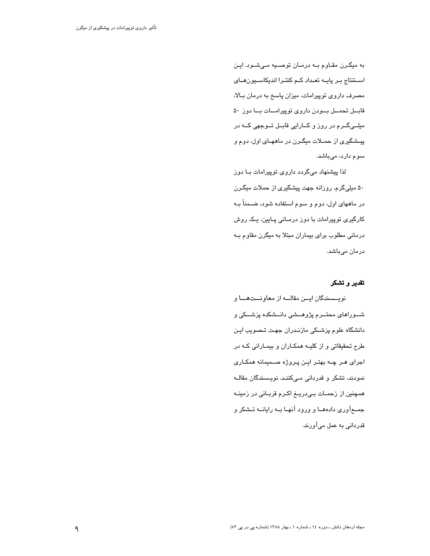به میگرن مقاوم بـه درمـان توصـیه مـیشـود. ایـن استنتاج بـر پایـه تعـداد کـم کنتـرا اندیکاسـیون هـای مصرف داروی توپیرامات، میزان پاسخ به درمان بـالا، قابــل تحمـــل بــودن داروى توپيرامـــات بــا دوز ۵۰ میلــیگــرم در روز و کــارایی قابــل تــوجهی کــه در پیشگیری از حمـلات میگـرن در ماههـای اول، دوم و سوم دارد، میباشد.

لذا پیشنهاد میگردد داروی توپیرامات بـا دوز ۵۰ میلیگرم، روزانه جهت پیشگیری از حملات میگـرن در ماههای اول، دوم و سوم استفاده شود، ضــمناً بــه کارگیری توپیرامات با دوز درمـانی پـایین، یـک روش درمانی مطلوب برای بیماران مبتلا به میگرن مقاوم بـه درمان میباشد.

# تقدير و تشكر

نويسسندگان ايسن مقالسه از معاونستهسا و شــوراهای محتــرم پژوهـــشی دانــشکده پزشـــکی و دانشگاه علوم پزشـکی مازنـدران جهـت تـصويب ايـن طرح تحقیقاتی و از کلیــه همکــاران و بیمــارانی کــه در اجرای هـر چـه بهتـر ايـن پـروژه صــمیمانه همکـاری نمودند، تشکر و قدردانی مےکننـد. نویـسندگان مقالـه همچنین از زحمـات بـیدریــغ اکـرم قربـانی در زمینــه جمع آوري دادههــا و ورود آنهـا بــه رايانــه تــشكر و قدردانی به عمل میآورند.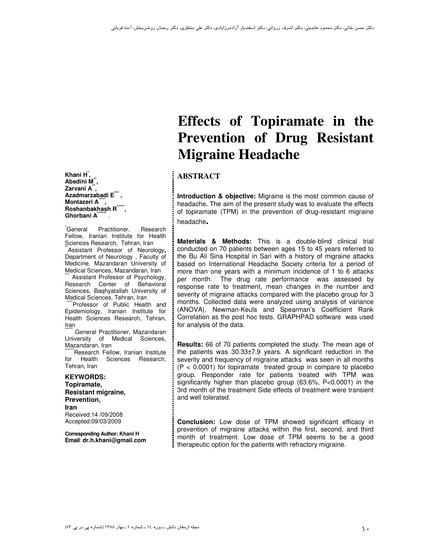**Khani H\* , Abedini M\*\* , Zarvani A\*\* , Azadmarzabadi E\*\*\* , Montazeri A\*\*\*\* , Roshanbakhash R\*\*\*\*\* , Ghorbani A\*\*\*\*\*\*** .

General Practitioner, Research Fellow, Iranian Institute for Health Sciences Research, Tehran, Iran  $*$ Assistant Professor of Neurology, Department of Neurology , Faculty of Medicine, Mazandaran University of Medical Sciences, Mazandaran, Iran

Assistant Professor of Psychology, Research Center of Behavioral Sciences, Baqhyatallah University of Medical Sciences, Tehran, Iran

\*Professor of Public Health and Epidemiology, Iranian Institute for Health Sciences Research, Tehran, Iran

General Practitioner, Mazandaran University of Medical Sciences, Mazandaran, Iran

Research Fellow, Iranian Institute for Health Sciences Research, Tehran, Iran

#### **KEYWORDS: Topiramate, Resistant migraine, Prevention, Iran**  Received:14 /09/2008 Accepted:09/03/2009

**Corresponding Author: Khani H Email**: **dr.h.khani@gmail.com**

# **Effects of Topiramate in the Prevention of Drug Resistant Migraine Headache**

# **ABSTRACT**

**Introduction & objective:** Migraine is the most common cause of headache**.** The aim of the present study was to evaluate the effects of topiramate (TPM) in the prevention of drug-resistant migraine headache**.**

**Materials & Methods:** This is a double-blind clinical trial conducted on 70 patients between ages 15 to 45 years referred to the Bu Ali Sina Hospital in Sari with a history of migraine attacks based on International Headache Society criteria for a period of more than one years with a minimum incidence of 1 to 6 attacks per month. The drug rate performance was assessed by response rate to treatment, mean changes in the number and severity of migraine attacks compared with the placebo group for 3 months. Collected data were analyzed using analysis of variance (ANOVA), Newman-Keuls and Spearman's Coefficient Rank Correlation as the post hoc tests. GRAPHPAD software was used for analysis of the data.

**Results:** 66 of 70 patients completed the study. The mean age of the patients was 30.33±7.9 years. A significant reduction in the severity and frequency of migraine attacks was seen in all months  $(P < 0.0001)$  for topiramate treated group in compare to placebo group. Responder rate for patients treated with TPM was significantly higher than placebo group (63.6%, P<0.0001) in the 3rd month of the treatment Side effects of treatment were transient and well tolerated.

**Conclusion:** Low dose of TPM showed significant efficacy in prevention of migraine attacks within the first, second, and third month of treatment. Low dose of TPM seems to be a good therapeutic option for the patients with refractory migraine.